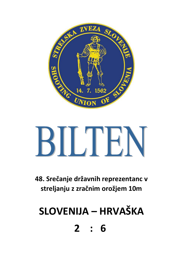

# BILTEN

**48. Srečanje državnih reprezentanc v streljanju z zračnim orožjem 10m**

# **SLOVENIJA – HRVAŠKA**

**2 : 6**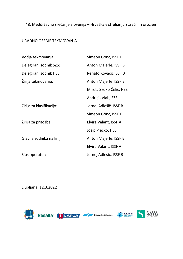# 48. Meddržavno srečanje Slovenija – Hrvaška v streljanju z zračnim orožjem

#### URADNO OSEBJE TEKMOVANJA

| Vodja tekmovanja:         | Simeon Gönc, ISSF B     |
|---------------------------|-------------------------|
| Delegirani sodnik SZS:    | Anton Majerle, ISSF B   |
| Delegirani sodnik HSS:    | Renato Kovačić ISSF B   |
| Žirija tekmovanja:        | Anton Majerle, ISSF B   |
|                           | Mirela Skoko Ćelić, HSS |
|                           | Andreja Vlah, SZS       |
| Žirija za klasifikacijo:  | Jernej Adlešič, ISSF B  |
|                           | Simeon Gönc, ISSF B     |
| Žirija za pritožbe:       | Elvira Valant, ISSF A   |
|                           | Josip Plečko, HSS       |
| Glavna sodnika na liniji: | Anton Majerle, ISSF B   |
|                           | Elvira Valant, ISSF A   |
| Sius operater:            | Jernej Adlešič, ISSF B  |

Ljubljana, 12.3.2022









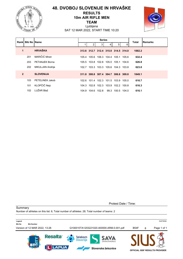

# **48. DVOBOJ SLOVENIJE IN HRVAŠKE RESULTS 10m AIR RIFLE MEN TEAM**



Ljubljana SAT 12 MAR 2022, START TIME 10:20

|                      | Rank Bib No Name |                       |       |       | <b>Series</b>                       |   |                         |   | <b>Total</b> | Remarks |
|----------------------|------------------|-----------------------|-------|-------|-------------------------------------|---|-------------------------|---|--------------|---------|
|                      |                  |                       |       | 2     | 3 <sup>1</sup>                      | 4 | 5 <sup>1</sup>          | 6 |              |         |
| $\blacktriangleleft$ |                  | <b>HRVAŠKA</b>        |       |       | 313.6 312.7 312.4 315.0 314.5 314.0 |   |                         |   | 1882.2       |         |
|                      | 201              | MARIČIĆ Miran         | 105.4 | 105.6 |                                     |   | 106.3 104.4 105.1 105.6 |   | 632.4        |         |
|                      | 203              | <b>PETANJEK Borna</b> |       |       | 105.5 103.8 102.8 105.0 105.1 104.6 |   |                         |   | 626.8        |         |
|                      | 202              | MIKULJAN Andrija      | 102.7 |       | 103.3 103.3 105.6 104.3 103.8       |   |                         |   | 623.0        |         |
| $\overline{2}$       |                  | <b>SLOVENIJA</b>      |       |       | 311.8 308.8 307.4 304.7 306.6 309.8 |   |                         |   | 1849.1       |         |
|                      | 103              | PETELINEK Jakob       | 102.6 |       | 101.4 102.3 101.5 103.9 105.0       |   |                         |   | 616.7        |         |
|                      | 101              | KLOPČIČ Nejc          |       |       | 104.3 102.8 102.3 103.9 102.2 100.8 |   |                         |   | 616.3        |         |
|                      | 102              | LUŽAR Blaž            |       |       | 104.9 104.6 102.8                   |   | 99.3 100.5 104.0        |   | 616.1        |         |

Protest Date / Time:

**Summary** 

Number of athletes on this list: 6; Total number of athletes: 28; Total number of teams: 2

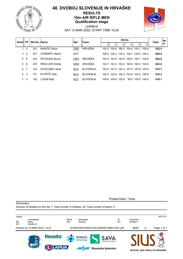

# **48. DVOBOJ SLOVENIJE IN HRVAŠKE RESULTS 10m AIR RIFLE MEN Qualification stage**



Ljubljana SAT 12 MAR 2022, START TIME 10:20

| Rankl         | FP.            |     | <b>Bib No IName</b> |            | <b>Nat</b><br>Team |       |                                     | <b>Series</b> |             |                               |       |              |   |  |
|---------------|----------------|-----|---------------------|------------|--------------------|-------|-------------------------------------|---------------|-------------|-------------------------------|-------|--------------|---|--|
|               |                |     |                     |            |                    |       |                                     | 3             |             | 5                             | 6     | <b>Total</b> | m |  |
|               | $\overline{4}$ | 201 | MARIČIĆ Miran       | <b>CRO</b> | HRVAŠKA            | 105.4 | 105.6                               |               | 106.3 104.4 | 105.1                         | 105.6 | 632.4        |   |  |
| $\mathcal{P}$ | $\mathcal{P}$  | 301 | STREMPEL Martin     | <b>AUT</b> |                    | 104.0 |                                     |               |             | 105.2 105.4 104.7 104.4 104.3 |       | 628.0        |   |  |
| 3             | -6             | 203 | PFTANJFK Borna      | <b>CRO</b> | HRVAŠKA            |       | 105.5 103.8 102.8 105.0 105.1 104.6 |               |             |                               |       | 626.8        |   |  |
| 4             | -8             | 202 | MIKULJAN Andrija    | <b>CRO</b> | HRVAŠKA            |       | 102.7 103.3 103.3 105.6 104.3 103.8 |               |             |                               |       | 623.0        |   |  |
| 5.            | 7              | 103 | PFTFI INFK Jakob    | <b>SLO</b> | <b>SLOVENIJA</b>   |       | 102.6 101.4 102.3 101.5 103.9 105.0 |               |             |                               |       | 616.7        |   |  |
| 6             | 3              | 101 | KLOPČIČ Nejc        | <b>SLO</b> | <b>SLOVENIJA</b>   |       | 104.3 102.8 102.3 103.9 102.2 100.8 |               |             |                               |       | 616.3        |   |  |
|               | -5             | 102 | LUŽAR Blaž          | <b>SLO</b> | <b>SLOVENIJA</b>   |       | 104.9 104.6 102.8                   |               |             | 99 3 100 5 104 0              |       | 616.1        |   |  |

**Summary** 

Protest Date / Time:



Number of athletes on this list: 7; Total number of athletes: 28; Total number of teams: 2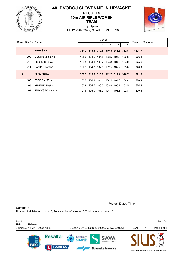

# **48. DVOBOJ SLOVENIJE IN HRVAŠKE RESULTS 10m AIR RIFLE WOMEN TEAM**



Ljubljana SAT 12 MAR 2022, START TIME 10:20

|                | <b>Rankl Bib No Name</b> |                         |       |   | <b>Series</b>                       |   |   |   | <b>Total</b> | <b>Remarks</b> |
|----------------|--------------------------|-------------------------|-------|---|-------------------------------------|---|---|---|--------------|----------------|
|                |                          |                         |       | 2 | 3                                   | 4 | 5 | 6 |              |                |
| 1              |                          | <b>HRVAŠKA</b>          |       |   | 311.2 313.3 312.5 310.3 311.6 312.8 |   |   |   | 1871.7       |                |
|                | 209                      | <b>GUSTIN Valentina</b> |       |   | 105.3 104.5 104.5 103.5 104.5 103.8 |   |   |   | 626.1        |                |
|                | 210                      | <b>BOROVIĆ Tanja</b>    |       |   | 103.8 104.1 105.2 104.3 104.2 104.0 |   |   |   | 625.6        |                |
|                | 211                      | <b>BANJAC Tatjana</b>   |       |   | 102.1 104.7 102.8 102.5 102.9 105.0 |   |   |   | 620.0        |                |
| $\overline{2}$ |                          | <b>SLOVENIJA</b>        |       |   | 309.3 315.8 310.9 312.2 312.4 310.7 |   |   |   | 1871.3       |                |
|                | 107                      | DVORŠAK Živa            | 103.5 |   | 106.3 104.4 104.2 104.0 104.4       |   |   |   | 626.8        |                |
|                | 108                      | KUHARIČ Urška           |       |   | 103.9 104.5 103.3 103.9 105.1 103.5 |   |   |   | 624.2        |                |
|                | 109                      | JEROVŠEK Klavdija       |       |   | 101.9 105.0 103.2 104.1 103.3 102.8 |   |   |   | 620.3        |                |

Protest Date / Time:

**Summary** 

Number of athletes on this list: 6; Total number of athletes: 7; Total number of teams: 2

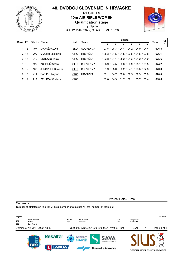

# **48. DVOBOJ SLOVENIJE IN HRVAŠKE RESULTS 10m AIR RIFLE WOMEN Qualification stage**



Ljubljana SAT 12 MAR 2022, START TIME 10:20

| <b>Rankl FP</b> |      |     | <b>Bib No IName</b><br><b>Nat</b> |            | Team             |        |                                     |       | <b>Total</b>            | <b>Re</b>   |             |       |   |
|-----------------|------|-----|-----------------------------------|------------|------------------|--------|-------------------------------------|-------|-------------------------|-------------|-------------|-------|---|
|                 |      |     |                                   |            |                  |        | 2                                   | 3     |                         | 5           | 6           |       | m |
|                 | -13  | 107 | DVORŠAK Živa                      | <b>SLO</b> | <b>SLOVENIJA</b> | 103.5. | 106.3                               |       | 104 4 104 2 104 0 104 4 |             |             | 626.8 |   |
| $\mathcal{P}$   | -14  | 209 | <b>GUSTIN Valentina</b>           | <b>CRO</b> | HRVAŠKA          |        | 105.3 104.5 104.5 103.5 104.5 103.8 |       |                         |             |             | 626.1 |   |
|                 | 3 16 | 210 | <b>BOROVIĆ Tanja</b>              | <b>CRO</b> | <b>HRVAŠKA</b>   |        | 103.8 104.1                         |       | 105 2 104 3 104 2 104 0 |             |             | 625.6 |   |
| 4               | -15  | 108 | KUHARIČ Urška                     | <b>SLO</b> | <b>SLOVENIJA</b> |        | 103.9 104.5 103.3 103.9 105.1 103.5 |       |                         |             |             | 624.2 |   |
| 5               | 17   | 109 | JEROVŠEK Klavdija                 | <b>SLO</b> | <b>SLOVENIJA</b> |        | 101.9 105.0 103.2 104.1             |       |                         | 103.3 102.8 |             | 620.3 |   |
| 6               | 18   | 211 | <b>BANJAC Tatjana</b>             | <b>CRO</b> | <b>HRVAŠKA</b>   | 102.1  | 104.7                               |       | 102.8 102.5 102.9       |             | 105 0       | 620.0 |   |
|                 | 7 19 | 212 | ZELJKOVIĆ Marta                   | CRO        |                  |        | 102.8 104.9                         | 101.7 | 102.1                   |             | 103.7 103.4 | 618.6 |   |

**Summary** 

Protest Date / Time:

**Legend** 6398D06C **\_\_\_ Team Member Bib No Bib Number FP Firing Point SEP 1946**<br>
SF2 **Semifinal 2 Nat Nation Rem Remarks SF1 Semifinal 1** Version of 12 MAR 2022, 13:32 Q000010IA1203221020.800000.ARW.0.001.pdf B54F 10 Page 1 of 1 **Resalta Telekom** SAVA Slovenije ZAVAROVALNICA **LAPUA** Slovenske železnice **OFFICIAL ISSF RESULTS PROVIDER**

Number of athletes on this list: 7; Total number of athletes: 7; Total number of teams: 2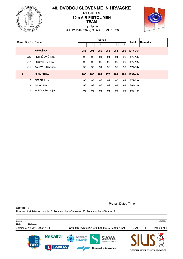

# **48. DVOBOJ SLOVENIJE IN HRVAŠKE RESULTS 10m AIR PISTOL MEN TEAM**



Ljubljana SAT 12 MAR 2022, START TIME 10:20

| Rankl          | <b>Bib No Name</b> |                  |     |                | <b>Series</b> |     |                |     | <b>Total</b> | <b>IRemarks</b> |
|----------------|--------------------|------------------|-----|----------------|---------------|-----|----------------|-----|--------------|-----------------|
|                |                    |                  |     | 2 <sub>1</sub> | 3             | 4   | 5 <sup>1</sup> | 6   |              |                 |
| 1              |                    | <b>HRVAŠKA</b>   | 286 | 291            | 280           | 286 | 284            | 290 | 1717-36x     |                 |
|                | 220                | PETRIČEVIĆ Ivan  | 96  | 99             | 94            | 94  | 94             | 96  | $573 - 14x$  |                 |
|                | 217                | POSAVEC Željko   | 95  | 95             | 95            | 96  | 95             | 96  | $572 - 12x$  |                 |
|                | 219                | KAČAVENDA Uroš   | 95  | 97             | 91            | 96  | 95             | 98  | 572-10x      |                 |
| $\overline{2}$ |                    | <b>SLOVENIJA</b> | 285 | 288            | 284           | 278 | 281            | 281 | 1697-49x     |                 |
|                | 113                | ČEPER Jože       | 95  | 95             | 96            | 94  | 97             | 94  | $571 - 23x$  |                 |
|                | 114                | <b>IVANC Rok</b> | 95  | 97             | 95            | 91  | 93             | 93  | 564-12x      |                 |
|                | 115                | KORDIŠ Sebastjan | 95  | 96             | 93            | 93  | 91             | 94  | 562-14x      |                 |

Protest Date / Time:

**Summary** 

Number of athletes on this list: 6; Total number of athletes: 26; Total number of teams: 2

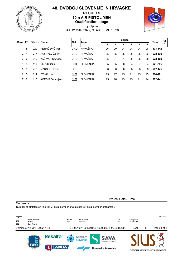

### **48. DVOBOJ SLOVENIJE IN HRVAŠKE RESULTS 10m AIR PISTOL MEN Qualification stage**

Ljubljana SAT 12 MAR 2022, START TIME 10:20



| Rank | <b>FP</b> | <b>Bib No IName</b> |                  | <b>Nat</b> | <b>Team</b>      |    |    |    | <b>Total</b> | l Re |    |             |    |
|------|-----------|---------------------|------------------|------------|------------------|----|----|----|--------------|------|----|-------------|----|
|      |           |                     |                  |            |                  |    | ◠  |    | 4            | 5    | 6  |             | Im |
|      | 8         | 220                 | PETRIČEVIĆ Ivan  | CRO        | HRVAŠKA          | 96 | 99 | 94 | 94           | 94   | 96 | $573 - 14x$ |    |
| 2    | 4         | 217                 | POSAVEC Željko   | <b>CRO</b> | HRVAŠKA          | 95 | 95 | 95 | 96           | 95   | 96 | 572-12x     |    |
| 3    | 6         | 219                 | KAČAVENDA Uroš   | <b>CRO</b> | HRVAŠKA          | 95 | 97 | 91 | 96           | 95   | 98 | 572-10x     |    |
| 4    | 3         | 113                 | ČEPER Jože       | <b>SLO</b> | <b>SLOVENIJA</b> | 95 | 95 | 96 | 94           | 97   | 94 | $571 - 23x$ |    |
| 5    | 9         | 218                 | MARČEC Hrvoje    | CRO        |                  | 96 | 93 | 96 | 93           | 93   | 96 | 567-14x     |    |
| 6    | 5         | 114                 | <b>IVANC Rok</b> | <b>SLO</b> | <b>SLOVENIJA</b> | 95 | 97 | 95 | 91           | 93   | 93 | 564-12x     |    |
|      |           | 115                 | KORDIŠ Sebastjan | <b>SLO</b> | <b>SLOVENIJA</b> | 95 | 96 | 93 | 93           | 91   | 94 | 562-14x     |    |

**Summary** 

Protest Date / Time:



Number of athletes on this list: 7; Total number of athletes: 26; Total number of teams: 2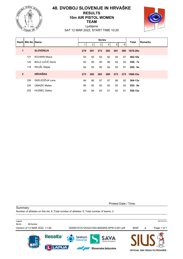

# **48. DVOBOJ SLOVENIJE IN HRVAŠKE RESULTS 10m AIR PISTOL WOMEN TEAM**



Ljubljana SAT 12 MAR 2022, START TIME 10:20

| Rank           | <b>Bib No Name</b> |                         |     |                | <b>Series</b>  |     |                |     | <b>Total</b> | <b>Remarks</b> |
|----------------|--------------------|-------------------------|-----|----------------|----------------|-----|----------------|-----|--------------|----------------|
|                |                    |                         |     | $\overline{2}$ | 3 <sup>1</sup> | 4   | 5 <sup>1</sup> | 6   |              |                |
| 1              |                    | <b>SLOVENIJA</b>        | 279 | 281            | 273            | 282 | 281            | 280 | 1676-26x     |                |
|                | 121                | <b>KOLMAN Mojca</b>     | 93  | 93             | 93             | 92  | 94             | 97  | 562-10x      |                |
|                | 120                | <b>BOLA UJČIČ Denis</b> | 92  | 95             | 90             | 96  | 94             | 92  | 559- 7x      |                |
|                | 119                | RAUŠL Majda             | 94  | 93             | 90             | 94  | 93             | 91  | $555 - 9x$   |                |
| $\overline{2}$ |                    | <b>HRVAŠKA</b>          | 273 | 282            | 283            | 280 | 273            | 275 | 1666-33x     |                |
|                | 226                | SKELEDŽIJA Lana         | 94  | 96             | 97             | 97  | 88             | 92  | 564-13x      |                |
|                | 224                | OMAZIĆ Matea            | 90  | 92             | 93             | 92  | 93             | 92  | $552 - 8x$   |                |
|                | 225                | <b>HLEBEC Zlatka</b>    | 89  | 94             | 93             | 91  | 92             | 91  | 550-12x      |                |

Protest Date / Time:

**Summary** 

Number of athletes on this list: 6; Total number of athletes: 6; Total number of teams: 2

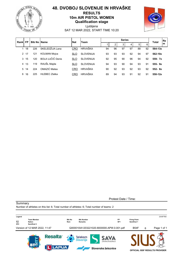

# **48. DVOBOJ SLOVENIJE IN HRVAŠKE RESULTS 10m AIR PISTOL WOMEN Qualification stage**



Ljubljana SAT 12 MAR 2022, START TIME 10:20

| Rankl | <b>Team</b><br><b>FP</b><br><b>Bib No IName</b><br><b>Nat</b> |     |                     |            | lRe<br>Total     |    |    |    |                 |    |    |             |
|-------|---------------------------------------------------------------|-----|---------------------|------------|------------------|----|----|----|-----------------|----|----|-------------|
|       |                                                               |     |                     |            |                  |    | 2  | 3  | $\vert 4 \vert$ | 5  | 6  | ١m          |
|       | 18                                                            | 226 | SKELEDŽIJA Lana     | <b>CRO</b> | <b>HRVAŠKA</b>   | 94 | 96 | 97 | 97              | 88 | 92 | 564-13x     |
|       | 2 17                                                          | 121 | <b>KOLMAN Mojca</b> | <b>SLO</b> | <b>SLOVENIJA</b> | 93 | 93 | 93 | 92              | 94 | 97 | $562 - 10x$ |
| 3     | 15                                                            | 120 | BOLA UJČIČ Denis    | <b>SLO</b> | <b>SLOVENIJA</b> | 92 | 95 | 90 | 96              | 94 | 92 | 559-7x      |
| 4     | 13                                                            | 119 | RAUŠL Majda         | <b>SLO</b> | <b>SLOVENIJA</b> | 94 | 93 | 90 | 94              | 93 | 91 | $555 - 9x$  |
| 5     | 14                                                            | 224 | OMAZIĆ Matea        | <b>CRO</b> | HRVAŠKA          | 90 | 92 | 93 | 92              | 93 | 92 | $552 - 8x$  |
| 6     | 16                                                            | 225 | HI FBFC Zlatka      | CRO        | HRVAŠKA          | 89 | 94 | 93 | 91              | 92 | 91 | 550-12x     |

**Summary** 

Protest Date / Time:

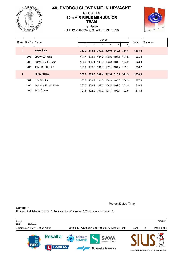

# **48. DVOBOJ SLOVENIJE IN HRVAŠKE RESULTS 10m AIR RIFLE MEN JUNIOR TEAM**



Ljubljana SAT 12 MAR 2022, START TIME 10:20

| <b>Bib No Name</b><br>Rankl |     |                    |       |   | <b>Series</b>                       |   |   | <b>Total</b> | Remarks |  |
|-----------------------------|-----|--------------------|-------|---|-------------------------------------|---|---|--------------|---------|--|
|                             |     |                    |       | 2 | 3 <sup>1</sup>                      | 4 | 5 | 6            |         |  |
| 1                           |     | <b>HRVAŠKA</b>     |       |   | 312.2 313.4 309.0 309.0 310.1 311.1 |   |   |              | 1864.8  |  |
|                             | 206 | SIKAVICA Josip     | 104.1 |   | 103.8 104.7 103.6 104.1 104.8       |   |   |              | 625.1   |  |
|                             | 205 | TOMAŠEVIĆ Darko    |       |   | 104.3 106.4 103.0 103.3 101.8 104.2 |   |   |              | 623.0   |  |
|                             | 207 | JAMBREUŠ Luka      |       |   | 103.8 103.2 101.3 102.1 104.2 102.1 |   |   |              | 616.7   |  |
| $\overline{2}$              |     | <b>SLOVENIJA</b>   |       |   | 307.2 309.2 307.4 312.8 310.2 311.3 |   |   |              | 1858.1  |  |
|                             | 104 | LUKIĆ Luka         |       |   | 103.5 103.3 104.0 104.9 105.0 106.3 |   |   |              | 627.0   |  |
|                             | 106 | BABAČA Ernest Eman |       |   | 102.2 103.9 102.4 104.2 102.8 102.5 |   |   |              | 618.0   |  |
|                             | 105 | SOČIČ Jure         |       |   | 101.5 102.0 101.0 103.7 102.4 102.5 |   |   |              | 613.1   |  |

Protest Date / Time:

**Summary** 

Number of athletes on this list: 6; Total number of athletes: 7; Total number of teams: 2

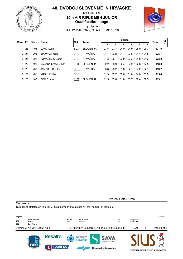

#### **48. DVOBOJ SLOVENIJE IN HRVAŠKE RESULTS 10m AIR RIFLE MEN JUNIOR Qualification stage**



Ljubljana SAT 12 MAR 2022, START TIME 10:20

| Rankl       | FP.   |     | <b>Bib No IName</b> |            | <b>Team</b><br><b>Nat</b> |       |                                     | <b>Series</b> |             |             |       |              |   |
|-------------|-------|-----|---------------------|------------|---------------------------|-------|-------------------------------------|---------------|-------------|-------------|-------|--------------|---|
|             |       |     |                     |            |                           |       | 2                                   | 3             |             | 5           | 6     | <b>Total</b> | m |
|             | -23   | 104 | LUKIĆ Luka          | <b>SLO</b> | <b>SLOVENIJA</b>          | 103.5 | 103.3                               |               | 104.0 104.9 | 105.0       | 106.3 | 627.0        |   |
|             | 2 2 6 | 206 | SIKAVICA Josip      | <b>CRO</b> | HRVAŠKA                   | 104.1 |                                     | 103.8 104.7   |             | 103.6 104.1 | 104.8 | 625.1        |   |
|             | 3, 24 | 205 | TOMAŠEVIĆ Darko     | <b>CRO</b> | HRVAŠKA                   |       | 104 3 106 4 103 0 103 3 101 8 104 2 |               |             |             |       | 623.0        |   |
|             | 4 27  | 106 | BABAČA Frnest Fman  | <b>SLO</b> | <b>SLOVENIJA</b>          |       | 102.2 103.9 102.4 104.2 102.8 102.5 |               |             |             |       | 618.0        |   |
| $5^{\circ}$ | -28   | 207 | JAMBREUŠ Luka       | <b>CRO</b> | HRVAŠKA                   |       | 103.8 103.2 101.3 102.1             |               |             | 104 2 102 1 |       | 616.7        |   |
| 6           | 29    | 208 | VRCIĆ Tvrtko        | <b>CRO</b> |                           | 101.9 | 102.7                               | 102.0         | 101.0       | 104.0       | 103.8 | 615.4        |   |
|             | 7 25  | 105 | SOČIČ Jure          | <b>SLO</b> | <b>SLOVENIJA</b>          |       | 101.5 102.0                         | 101.0         | 103.7       | 102.4       | 102.5 | 613.1        |   |

**Summary** 

Protest Date / Time:



Number of athletes on this list: 7; Total number of athletes: 7; Total number of teams: 2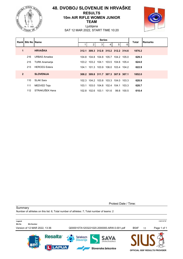

# **48. DVOBOJ SLOVENIJE IN HRVAŠKE RESULTS 10m AIR RIFLE WOMEN JUNIOR TEAM**



Ljubljana SAT 12 MAR 2022, START TIME 10:20

| Rankl          | <b>Bib No Name</b> |                       | <b>Series</b> |   |   |   |                                     |   | Total  | Remarks |
|----------------|--------------------|-----------------------|---------------|---|---|---|-------------------------------------|---|--------|---------|
|                |                    |                       |               | 2 | 3 | 4 | 5                                   | 6 |        |         |
| 1              |                    | <b>HRVAŠKA</b>        |               |   |   |   | 312.1 309.3 312.8 315.2 312.2 314.6 |   | 1876.2 |         |
|                | 216                | <b>URBAS Amadea</b>   |               |   |   |   | 104.8 104.8 104.8 105.7 104.2 105.0 |   | 629.3  |         |
|                | 215                | <b>TURK Anamarija</b> |               |   |   |   | 103.2 103.2 104.1 103.5 104.6 105.4 |   | 624.0  |         |
|                | 213                | <b>HERCEG</b> Estera  |               |   |   |   | 104.1 101.3 103.9 106.0 103.4 104.2 |   | 622.9  |         |
| $\overline{2}$ |                    | <b>SLOVENIJA</b>      |               |   |   |   | 308.2 309.8 311.7 307.3 307.9 307.1 |   | 1852.0 |         |
|                | 110                | <b>SLAK Sara</b>      |               |   |   |   | 102.3 104.2 103.8 103.3 104.0 103.3 |   | 620.9  |         |
|                | 111                | MEDVED Teja           |               |   |   |   | 103.1 103.0 104.8 102.4 104.1 103.3 |   | 620.7  |         |
|                | 112                | STRAKUŠEK Hana        |               |   |   |   | 102.8 102.6 103.1 101.6 99.8 100.5  |   | 610.4  |         |

Protest Date / Time:

**Summary** 

Number of athletes on this list: 6; Total number of athletes: 7; Total number of teams: 2

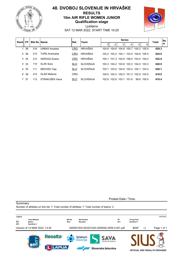

#### **48. DVOBOJ SLOVENIJE IN HRVAŠKE RESULTS 10m AIR RIFLE WOMEN JUNIOR Qualification stage**

Ljubljana



SAT 12 MAR 2022, START TIME 10:20

|                | FP.<br>Rankl |     | <b>Bib No IName</b>   | <b>Nat</b> | <b>Team</b>      | <b>Series</b> |                                     |   |                   |                               |       | <b>Total</b> | <b>Re</b> |
|----------------|--------------|-----|-----------------------|------------|------------------|---------------|-------------------------------------|---|-------------------|-------------------------------|-------|--------------|-----------|
|                |              |     |                       |            |                  |               | 2                                   | 3 |                   | 5                             | 6     |              | m         |
|                | 38           | 216 | <b>URBAS Amadea</b>   | <b>CRO</b> | <b>HRVAŠKA</b>   | 104.8         | 104.8                               |   | 104.8 105.7       | 104.2                         | 105.0 | 629.3        |           |
|                | 2 36         | 215 | <b>TURK Anamarija</b> | CRO        | HRVAŠKA          |               | 103.2 103.2 104.1                   |   |                   | 103.5 104.6 105.4             |       | 624.0        |           |
|                | 3 34         | 213 | <b>HERCEG Estera</b>  | CRO        | HRVAŠKA          | 104.1         |                                     |   |                   | 101.3 103.9 106.0 103.4 104.2 |       | 622.9        |           |
| $\overline{4}$ | -33          | 110 | SI AK Sara            | <b>SLO</b> | <b>SLOVENIJA</b> |               | 102.3 104.2 103.8 103.3 104.0 103.3 |   |                   |                               |       | 620.9        |           |
|                | 5 35         | 111 | <b>MEDVED Teja</b>    | <b>SLO</b> | <b>SLOVENIJA</b> | 103.1         | 103.0                               |   | 104.8 102.4 104.1 |                               | 103.3 | 620.7        |           |
| 6              | 39           | 214 | <b>GI AD Melanie</b>  | CRO        |                  | 104.0         |                                     |   |                   | 104.3 102.0 101.3 102.9       | 103.5 | 618.0        |           |
|                | 7 37         | 112 | STRAKUŠEK Hana        | <b>SLO</b> | <b>SLOVENIJA</b> |               | 102.8 102.6 103.1                   |   | 101.6             | 99.8                          | 100.5 | 610.4        |           |

**Summary** 

Protest Date / Time:



Number of athletes on this list: 7; Total number of athletes: 7; Total number of teams: 2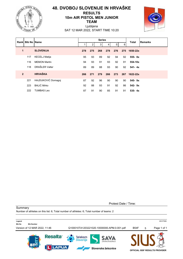

# **48. DVOBOJ SLOVENIJE IN HRVAŠKE RESULTS 10m AIR PISTOL MEN JUNIOR TEAM**



Ljubljana SAT 12 MAR 2022, START TIME 10:20

| Rank           | <b>Bib No IName</b> |                      |     |                | <b>Series</b> |     |                |     | <b>Total</b> | Remarks |
|----------------|---------------------|----------------------|-----|----------------|---------------|-----|----------------|-----|--------------|---------|
|                |                     |                      |     | $\overline{2}$ | 3             | 4   | 5 <sub>1</sub> | 6   |              |         |
| 1              |                     | <b>SLOVENIJA</b>     | 278 | 275            | 268           | 278 | 276            | 275 | 1650-22x     |         |
|                | 117                 | <b>KECELJ Matija</b> | 95  | 93             | 89            | 92  | 94             | 92  | 555-8x       |         |
|                | 116                 | <b>MEMON Martin</b>  | 94  | 93             | 91            | 93  | 92             | 91  | 554-10x      |         |
|                | 118                 | DRAŠLER Valter       | 89  | 89             | 88            | 93  | 90             | 92  | $541 - 4x$   |         |
| $\overline{2}$ |                     | <b>HRVAŠKA</b>       | 266 | 271            | 279           | 266 | 273            | 267 | 1622-22x     |         |
|                | 221                 | HAJDUKOVIĆ Domagoj   | 87  | 92             | 96            | 90  | 90             | 90  | 545-9x       |         |
|                | 223                 | <b>BALIĆ Mirko</b>   | 92  | 88             | 93            | 91  | 92             | 86  | $542 - 9x$   |         |
|                | 222                 | <b>TUMBAS Leo</b>    | 87  | 91             | 90            | 85  | 91             | 91  | $535 - 4x$   |         |

Protest Date / Time:

**Summary** 

Number of athletes on this list: 6; Total number of athletes: 6; Total number of teams: 2

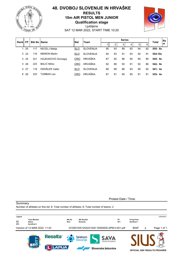

# **48. DVOBOJ SLOVENIJE IN HRVAŠKE RESULTS 10m AIR PISTOL MEN JUNIOR Qualification stage**



Ljubljana SAT 12 MAR 2022, START TIME 10:20

| <b>FP</b><br>Rankl |       | <b>Bib No IName</b> | <b>Nat</b>           | Team       | <b>Series</b>    |    |    |    |         |    | <b>Re</b><br><b>Total</b> |            |
|--------------------|-------|---------------------|----------------------|------------|------------------|----|----|----|---------|----|---------------------------|------------|
|                    |       |                     |                      |            |                  |    | 2  | 3  | $\vert$ | 5  | 6                         | ١m         |
|                    | 25    | 117                 | <b>KECELJ Matija</b> | <b>SLO</b> | <b>SLOVENIJA</b> | 95 | 93 | 89 | 92      | 94 | 92                        | $555 - 8x$ |
| $\mathcal{P}$      | -23   | 116                 | <b>MFMON Martin</b>  | <b>SLO</b> | <b>SLOVENIJA</b> | 94 | 93 | 91 | 93      | 92 | 91                        | 554-10x    |
|                    | 3, 24 | 221                 | HAJDUKOVIĆ Domagoj   | <b>CRO</b> | HRVAŠKA          | 87 | 92 | 96 | 90      | 90 | 90                        | $545 - 9x$ |
| 4                  | 28    | 223                 | BALIĆ Mirko          | CRO        | HRVAŠKA          | 92 | 88 | 93 | 91      | 92 | 86                        | $542 - 9x$ |
|                    | 5 27  | 118                 | DRAŠLER Valter       | <b>SLO</b> | <b>SLOVENIJA</b> | 89 | 89 | 88 | 93      | 90 | 92                        | $541 - 4x$ |
| 6                  | 26    | 222                 | TUMBAS Leo           | <b>CRO</b> | HRVAŠKA          | 87 | 91 | 90 | 85      | 91 | 91                        | $535 - 4x$ |

**Summary** 

Protest Date / Time:

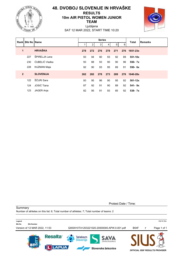

# **48. DVOBOJ SLOVENIJE IN HRVAŠKE RESULTS 10m AIR PISTOL WOMEN JUNIOR TEAM**



Ljubljana SAT 12 MAR 2022, START TIME 10:20

| Rankl          | <b>Bib No Name</b> |                    |     |                | <b>Series</b>  |     |                |     | <b>Total</b> | <b>Remarks</b> |
|----------------|--------------------|--------------------|-----|----------------|----------------|-----|----------------|-----|--------------|----------------|
|                |                    |                    |     | $\overline{2}$ | 3 <sup>1</sup> | 4   | 5 <sup>1</sup> | 6   |              |                |
| 1              |                    | <b>HRVAŠKA</b>     | 278 | 272            | 276            | 278 | 271            |     | 276 1651-23x |                |
|                | 227                | ŠPIRELJA Lana      | 93  | 94             | 90             | 93  | 92             | 89  | 551-10x      |                |
|                | 230                | ĆUBELIĆ Vladka     | 93  | 88             | 93             | 90  | 90             | 96  | 550- 7x      |                |
|                | 228                | <b>KUZMAN Maja</b> | 92  | 90             | 93             | 95  | 89             | 91  | 550- 6x      |                |
| $\overline{2}$ |                    | <b>SLOVENIJA</b>   | 262 | 282            | 278            | 273 | 269            | 276 | 1640-28x     |                |
|                | 122                | ŠČURI Sara         | 93  | 95             | 96             | 90  | 95             | 92  | $561 - 12x$  |                |
|                | 124                | JOSIĆ Tiana        | 87  | 92             | 91             | 90  | 89             | 92  | $541 - 9x$   |                |
|                | 123                | JAGER Anja         | 82  | 95             | 91             | 93  | 85             | 92  | $538 - 7x$   |                |

Protest Date / Time:

Summary

Number of athletes on this list: 6; Total number of athletes: 7; Total number of teams: 2

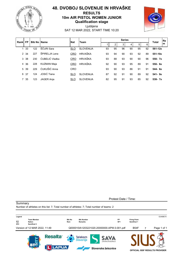

#### **48. DVOBOJ SLOVENIJE IN HRVAŠKE RESULTS 10m AIR PISTOL WOMEN JUNIOR Qualification stage**

Ljubljana SAT 12 MAR 2022, START TIME 10:20

|               | <b>FP</b><br>Rankl |     | <b>Bib No IName</b> | <b>Nat</b> | <b>Team</b>      | <b>Series</b> |    |    |    |    |    | <b>Total</b> | lRe. |
|---------------|--------------------|-----|---------------------|------------|------------------|---------------|----|----|----|----|----|--------------|------|
|               |                    |     |                     |            |                  |               | ◠  | 3  | 4  | 5  | 6  |              | Im   |
|               | -33                | 122 | ŠČURI Sara          | <b>SLO</b> | <b>SLOVENIJA</b> | 93            | 95 | 96 | 90 | 95 | 92 | 561-12x      |      |
| $\mathcal{P}$ | 34                 | 227 | ŠPIRFI JA Lana      | <b>CRO</b> | <b>HRVAŠKA</b>   | 93            | 94 | 90 | 93 | 92 | 89 | 551-10x      |      |
| 3             | 38                 | 230 | ĆUBELIĆ Vladka      | <b>CRO</b> | HRVAŠKA          | 93            | 88 | 93 | 90 | 90 | 96 | 550- 7x      |      |
| 4             | 36                 | 228 | <b>KUZMAN Maja</b>  | <b>CRO</b> | HRVAŠKA          | 92            | 90 | 93 | 95 | 89 | 91 | $550 - 6x$   |      |
| $5^{\circ}$   | 39                 | 229 | ĆUKUŠIĆ Anna        | <b>CRO</b> |                  | 93            | 90 | 93 | 86 | 91 | 91 | 544- 6x      |      |
| 6             | 37                 | 124 | JOSIĆ Tiana         | <b>SLO</b> | <b>SLOVENIJA</b> | 87            | 92 | 91 | 90 | 89 | 92 | $541 - 9x$   |      |
|               | 7 35               | 123 | <b>JAGER Anja</b>   | <b>SLO</b> | <b>SLOVENIJA</b> | 82            | 95 | 91 | 93 | 85 | 92 | $538 - 7x$   |      |

**Summary** 

Protest Date / Time:



Number of athletes on this list: 7; Total number of athletes: 7; Total number of teams: 2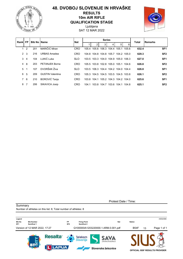

# **48. DVOBOJ SLOVENIJE IN HRVAŠKE RESULTS 10m AIR RIFLE QUALIFICATION STAGE**



Ljubljana SAT 12 MAR 2022

| Rank FP        |                |     | <b>Bib No Name</b>      | <b>Nat</b> |       |                                     | <b>Series</b> |             |       | Total | <b>Remarks</b>  |
|----------------|----------------|-----|-------------------------|------------|-------|-------------------------------------|---------------|-------------|-------|-------|-----------------|
|                |                |     |                         |            |       | 2 <sup>2</sup>                      | 3             | 5           | 6     |       |                 |
|                | $\overline{2}$ | 201 | MARIČIĆ Miran           | CRO        |       | 105.4 105.6 106.3 104.4 105.1 105.6 |               |             |       | 632.4 | SF <sub>1</sub> |
| $\mathcal{P}$  | -3             | 216 | <b>URBAS Amadea</b>     | <b>CRO</b> |       | 104.8 104.8 104.8 105.7 104.2 105.0 |               |             |       | 629.3 | SF <sub>2</sub> |
| 3              | $\overline{4}$ | 104 | LUKIĆ Luka              | <b>SLO</b> |       | 103.5 103.3 104.0 104.9 105.0 106.3 |               |             |       | 627.0 | SF <sub>1</sub> |
| 4              | 8              | 203 | <b>PETANJEK Borna</b>   | <b>CRO</b> |       | 105.5 103.8 102.8 105.0 105.1 104.6 |               |             |       | 626.8 | SF <sub>2</sub> |
| 5              | -1             | 107 | DVORŠAK Živa            | SLO.       |       | 103.5 106.3 104.4 104.2 104.0 104.4 |               |             |       | 626.8 | SF <sub>1</sub> |
| 6              | 5              | 209 | <b>GUSTIN Valentina</b> | <b>CRO</b> |       | 105.3 104.5 104.5 103.5 104.5 103.8 |               |             |       | 626.1 | SF <sub>2</sub> |
| $\overline{7}$ | - 6            | 210 | <b>BOROVIĆ Tanja</b>    | <b>CRO</b> |       | 103.8 104.1 105.2 104.3 104.2 104.0 |               |             |       | 625.6 | SF <sub>1</sub> |
| 8              | 7              | 206 | SIKAVICA Josip          | <b>CRO</b> | 104.1 |                                     | 103.8 104.7   | 103.6 104.1 | 104.8 | 625.1 | SF <sub>2</sub> |

Protest Date / Time:

Number of athletes on this list: 8; Total number of athletes: 8

**Summary** 

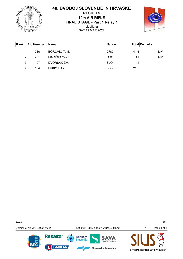**TNEZA** UNION OF

#### **48. DVOBOJ SLOVENIJE IN HRVAŠKE RESULTS 10m AIR RIFLE FINAL STAGE - Part 1 Relay 1** Ljubljana SAT 12 MAR 2022



| <b>Rank</b> | <b>Bib Number</b> | <b>Name</b>          | <b>INation</b> | <b>Total Remarks</b> |    |
|-------------|-------------------|----------------------|----------------|----------------------|----|
|             | 210               | <b>BOROVIĆ Tanja</b> | <b>CRO</b>     | 41,5                 | MМ |
| 2           | 201               | MARIČIĆ Miran        | <b>CRO</b>     | 41                   | MM |
| 3           | 107               | DVORŠAK Živa         | <b>SLO</b>     | 41                   |    |
| 4           | 104               | LUKIĆ Luka           | <b>SLO</b>     | 21,5                 |    |

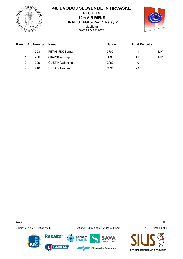**TNEZA** UNION OF

#### **48. DVOBOJ SLOVENIJE IN HRVAŠKE RESULTS 10m AIR RIFLE FINAL STAGE - Part 1 Relay 2** Ljubljana SAT 12 MAR 2022



| <b>Rank</b> | <b>Bib Number</b> | <b>IName</b>            | <b>INation</b> | <b>TotallRemarks</b> |    |
|-------------|-------------------|-------------------------|----------------|----------------------|----|
|             | 203               | <b>PETANJEK Borna</b>   | <b>CRO</b>     | 41                   | MМ |
|             | 206               | SIKAVICA Josip          | <b>CRO</b>     | 41                   | MМ |
| 3           | 209               | <b>GUSTIN Valentina</b> | <b>CRO</b>     | 40                   |    |
| 4           | 216               | <b>URBAS Amadea</b>     | <b>CRO</b>     | 23                   |    |

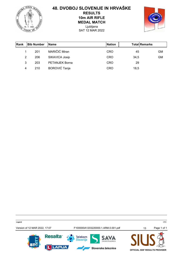**TVEZA** sto) E. UNION OF

# **48. DVOBOJ SLOVENIJE IN HRVAŠKE RESULTS 10m AIR RIFLE**

**MEDAL MATCH**

Ljubljana SAT 12 MAR 2022



| <b>IRank</b> | <b>Bib Number</b> | <b>Name</b>           | <b>INation</b> | <b>Total Remarks</b> |    |
|--------------|-------------------|-----------------------|----------------|----------------------|----|
|              | 201               | MARIČIĆ Miran         | <b>CRO</b>     | 45                   | GM |
| 2            | 206               | SIKAVICA Josip        | <b>CRO</b>     | 34,5                 | GM |
| 3            | 203               | <b>PETANJEK Borna</b> | <b>CRO</b>     | 29                   |    |
| 4            | 210               | <b>BOROVIĆ Tanja</b>  | <b>CRO</b>     | 18,5                 |    |

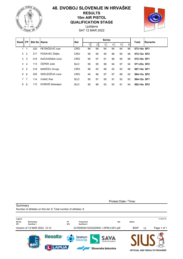

#### **48. DVOBOJ SLOVENIJE IN HRVAŠKE RESULTS 10m AIR PISTOL QUALIFICATION STAGE**

Ljubljana SAT 12 MAR 2022



| Rankl       | <b>FP</b>      | <b>Bib No IName</b> |                  | <b>Nat</b> |    |    | <b>Series</b> |    |    |    | Total       | <b>Remarks</b> |
|-------------|----------------|---------------------|------------------|------------|----|----|---------------|----|----|----|-------------|----------------|
|             |                |                     |                  |            |    | 2  | 3             | 4  | 5  | 6  |             |                |
|             |                | 220                 | PETRIČEVIĆ Ivan  | <b>CRO</b> | 96 | 99 | 94            | 94 | 94 | 96 | 573-14x SF1 |                |
| 2           | $\overline{2}$ | 217                 | POSAVEC Želiko   | <b>CRO</b> | 95 | 95 | 95            | 96 | 95 | 96 | 572-12x SF2 |                |
| 3           | 3              | 219                 | KAČAVENDA Uroš   | <b>CRO</b> | 95 | 97 | 91            | 96 | 95 | 98 | 572-10x SF1 |                |
| 4           | 4              | 113                 | ČEPER Jože       | <b>SLO</b> | 95 | 95 | 96            | 94 | 97 | 94 | 571-23x SF2 |                |
| 5           | 5              | 218                 | MARČEC Hrvoje    | <b>CRO</b> | 96 | 93 | 96            | 93 | 93 | 96 | 567-14x SF1 |                |
| 6           | 6              | 226                 | SKELEDŽIJA Lana  | <b>CRO</b> | 94 | 96 | 97            | 97 | 88 | 92 | 564-13x SF2 |                |
| $7^{\circ}$ | $\overline{7}$ | 114                 | <b>IVANC Rok</b> | <b>SLO</b> | 95 | 97 | 95            | 91 | 93 | 93 | 564-12x SF1 |                |
| 8           | 8              | 115                 | KORDIŠ Sebastjan | <b>SLO</b> | 95 | 96 | 93            | 93 | 91 | 94 | 562-14x SF2 |                |

Protest Date / Time:

Number of athletes on this list: 8; Total number of athletes: 8

**Summary** 

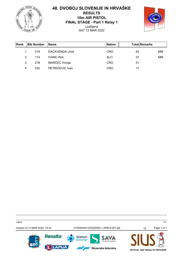**TNEZA** UNION OF

#### **48. DVOBOJ SLOVENIJE IN HRVAŠKE RESULTS 10m AIR PISTOL FINAL STAGE - Part 1 Relay 1** Ljubljana SAT 12 MAR 2022



| <b>Rank</b> | <b>Bib Number</b> | <b>Name</b>      | <b>Nation</b> | <b>TotallRemarks</b> |    |
|-------------|-------------------|------------------|---------------|----------------------|----|
| 1           | 219               | KAČAVENDA Uroš   | CRO           | 42                   | MМ |
| 2           | 114               | <b>IVANC Rok</b> | <b>SLO</b>    | 37                   | MM |
| 3           | 218               | MARČEC Hrvoje    | <b>CRO</b>    | 31                   |    |
| 4           | 220               | PETRIČEVIĆ Ivan  | CRO           | 17                   |    |

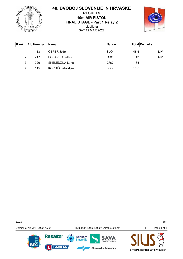**TNEZA** UNION OF

#### **48. DVOBOJ SLOVENIJE IN HRVAŠKE RESULTS 10m AIR PISTOL FINAL STAGE - Part 1 Relay 2** Ljubljana SAT 12 MAR 2022



| <b>IRank</b> | <b>Bib Number</b> | <b>Name</b>      | <b>INation</b> | <b>Total Remarks</b> |    |
|--------------|-------------------|------------------|----------------|----------------------|----|
|              | 113               | ČEPER Jože       | <b>SLO</b>     | 48,5                 | MМ |
| 2            | 217               | POSAVEC Željko   | <b>CRO</b>     | 43                   | MМ |
| 3            | 226               | SKELEDŽIJA Lana  | <b>CRO</b>     | 35                   |    |
| 4            | 115               | KORDIŠ Sebastjan | <b>SLO</b>     | 18,5                 |    |

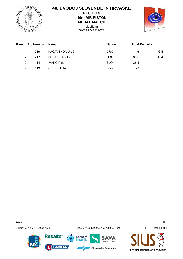**TNEZA** E. UNION OF

# **48. DVOBOJ SLOVENIJE IN HRVAŠKE**

**RESULTS 10m AIR PISTOL**

**MEDAL MATCH**

Ljubljana SAT 12 MAR 2022



| <b>Rank</b> | <b>Bib Number</b> | <b>IName</b>     | <b>Nation</b> | <b>Total Remarks</b> |    |
|-------------|-------------------|------------------|---------------|----------------------|----|
| 1           | 219               | KAČAVENDA Uroš   | <b>CRO</b>    | 46                   | GM |
| 2           | 217               | POSAVEC Željko   | <b>CRO</b>    | 38,5                 | GM |
| 3           | 114               | <b>IVANC Rok</b> | <b>SLO</b>    | 38,5                 |    |
| 4           | 113               | ČEPER Jože       | <b>SLO</b>    | 22                   |    |

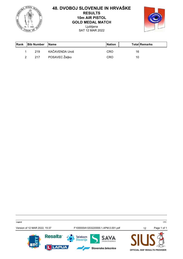

#### **48. DVOBOJ SLOVENIJE IN HRVAŠKE RESULTS 10m AIR PISTOL GOLD MEDAL MATCH** Ljubljana

SAT 12 MAR 2022



| <b>Rank</b> | <b>Bib Number</b> | <b>IName</b>   | <b>Nation</b> | <b>Total Remarks</b> |  |
|-------------|-------------------|----------------|---------------|----------------------|--|
|             | 219               | KAČAVENDA Uroš | <b>CRO</b>    | 16                   |  |
|             | 217               | POSAVEC Željko | CRO           | 10                   |  |